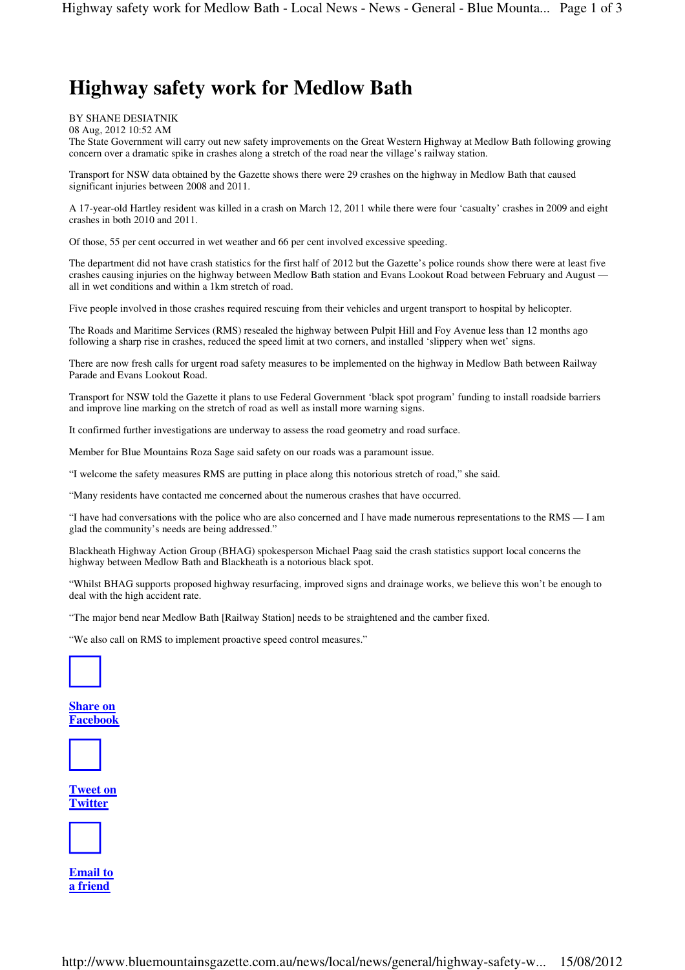# **Highway safety work for Medlow Bath**

BY SHANE DESIATNIK

08 Aug, 2012 10:52 AM

The State Government will carry out new safety improvements on the Great Western Highway at Medlow Bath following growing concern over a dramatic spike in crashes along a stretch of the road near the village's railway station.

Transport for NSW data obtained by the Gazette shows there were 29 crashes on the highway in Medlow Bath that caused significant injuries between 2008 and 2011.

A 17-year-old Hartley resident was killed in a crash on March 12, 2011 while there were four 'casualty' crashes in 2009 and eight crashes in both 2010 and 2011.

Of those, 55 per cent occurred in wet weather and 66 per cent involved excessive speeding.

The department did not have crash statistics for the first half of 2012 but the Gazette's police rounds show there were at least five crashes causing injuries on the highway between Medlow Bath station and Evans Lookout Road between February and August all in wet conditions and within a 1km stretch of road.

Five people involved in those crashes required rescuing from their vehicles and urgent transport to hospital by helicopter.

The Roads and Maritime Services (RMS) resealed the highway between Pulpit Hill and Foy Avenue less than 12 months ago following a sharp rise in crashes, reduced the speed limit at two corners, and installed 'slippery when wet' signs.

There are now fresh calls for urgent road safety measures to be implemented on the highway in Medlow Bath between Railway Parade and Evans Lookout Road.

Transport for NSW told the Gazette it plans to use Federal Government 'black spot program' funding to install roadside barriers and improve line marking on the stretch of road as well as install more warning signs.

It confirmed further investigations are underway to assess the road geometry and road surface.

Member for Blue Mountains Roza Sage said safety on our roads was a paramount issue.

"I welcome the safety measures RMS are putting in place along this notorious stretch of road," she said.

"Many residents have contacted me concerned about the numerous crashes that have occurred.

"I have had conversations with the police who are also concerned and I have made numerous representations to the RMS — I am glad the community's needs are being addressed."

Blackheath Highway Action Group (BHAG) spokesperson Michael Paag said the crash statistics support local concerns the highway between Medlow Bath and Blackheath is a notorious black spot.

"Whilst BHAG supports proposed highway resurfacing, improved signs and drainage works, we believe this won't be enough to deal with the high accident rate.

"The major bend near Medlow Bath [Railway Station] needs to be straightened and the camber fixed.

"We also call on RMS to implement proactive speed control measures."



**Share on Facebook**



**Tweet on Twitter**



**Email to a friend**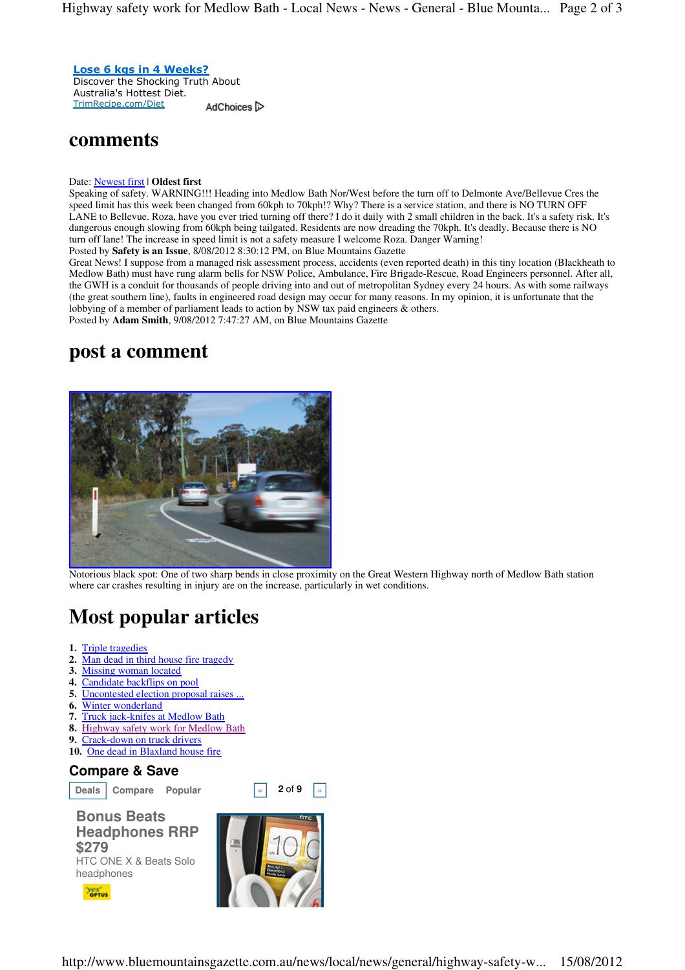Lose 6 kgs in 4 Weeks? Discover the Shocking Truth About Australia's Hottest Diet. TrimRecipe.com/Diet

AdChoices<sup>1</sup>

## **comments**

### Date: Newest first | **Oldest first**

Speaking of safety. WARNING!!! Heading into Medlow Bath Nor/West before the turn off to Delmonte Ave/Bellevue Cres the speed limit has this week been changed from 60kph to 70kph!? Why? There is a service station, and there is NO TURN OFF LANE to Bellevue. Roza, have you ever tried turning off there? I do it daily with 2 small children in the back. It's a safety risk. It's dangerous enough slowing from 60kph being tailgated. Residents are now dreading the 70kph. It's deadly. Because there is NO turn off lane! The increase in speed limit is not a safety measure I welcome Roza. Danger Warning! Posted by **Safety is an Issue**, 8/08/2012 8:30:12 PM, on Blue Mountains Gazette

Great News! I suppose from a managed risk assessment process, accidents (even reported death) in this tiny location (Blackheath to Medlow Bath) must have rung alarm bells for NSW Police, Ambulance, Fire Brigade-Rescue, Road Engineers personnel. After all, the GWH is a conduit for thousands of people driving into and out of metropolitan Sydney every 24 hours. As with some railways (the great southern line), faults in engineered road design may occur for many reasons. In my opinion, it is unfortunate that the lobbying of a member of parliament leads to action by NSW tax paid engineers & others. Posted by **Adam Smith**, 9/08/2012 7:47:27 AM, on Blue Mountains Gazette

# **post a comment**



Notorious black spot: One of two sharp bends in close proximity on the Great Western Highway north of Medlow Bath station where car crashes resulting in injury are on the increase, particularly in wet conditions.

# **Most popular articles**

- **1.** Triple tragedies
- **2.** Man dead in third house fire tragedy
- **3.** Missing woman located
- **4.** Candidate backflips on pool
- **5.** Uncontested election proposal raises
- **6.** Winter wonderland
- **7.** Truck jack-knifes at Medlow Bath
- **8.** Highway safety work for Medlow Bath
- **9.** Crack-down on truck drivers
- **10.** One dead in Blaxland house fire

## **Compare & Save**

**Deals Compare Popular a a 2** of **9**